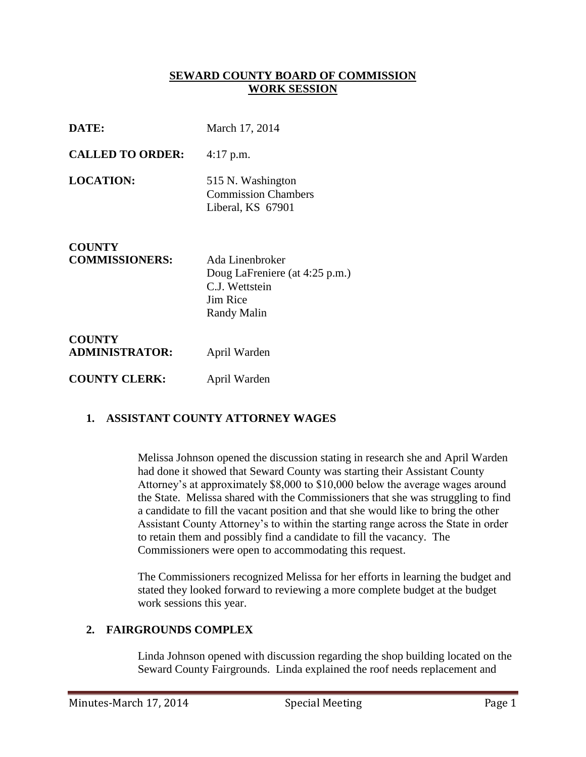#### **SEWARD COUNTY BOARD OF COMMISSION WORK SESSION**

| DATE:                                  | March 17, 2014                                                                                               |
|----------------------------------------|--------------------------------------------------------------------------------------------------------------|
| <b>CALLED TO ORDER:</b>                | 4:17 p.m.                                                                                                    |
| <b>LOCATION:</b>                       | 515 N. Washington<br><b>Commission Chambers</b><br>Liberal, KS 67901                                         |
| <b>COUNTY</b><br><b>COMMISSIONERS:</b> | Ada Linenbroker<br>Doug LaFreniere (at 4:25 p.m.)<br>C.J. Wettstein<br><b>Jim Rice</b><br><b>Randy Malin</b> |
| <b>COUNTY</b><br><b>ADMINISTRATOR:</b> | April Warden                                                                                                 |
| <b>COUNTY CLERK:</b>                   | April Warden                                                                                                 |

#### **1. ASSISTANT COUNTY ATTORNEY WAGES**

Melissa Johnson opened the discussion stating in research she and April Warden had done it showed that Seward County was starting their Assistant County Attorney's at approximately \$8,000 to \$10,000 below the average wages around the State. Melissa shared with the Commissioners that she was struggling to find a candidate to fill the vacant position and that she would like to bring the other Assistant County Attorney's to within the starting range across the State in order to retain them and possibly find a candidate to fill the vacancy. The Commissioners were open to accommodating this request.

The Commissioners recognized Melissa for her efforts in learning the budget and stated they looked forward to reviewing a more complete budget at the budget work sessions this year.

#### **2. FAIRGROUNDS COMPLEX**

Linda Johnson opened with discussion regarding the shop building located on the Seward County Fairgrounds. Linda explained the roof needs replacement and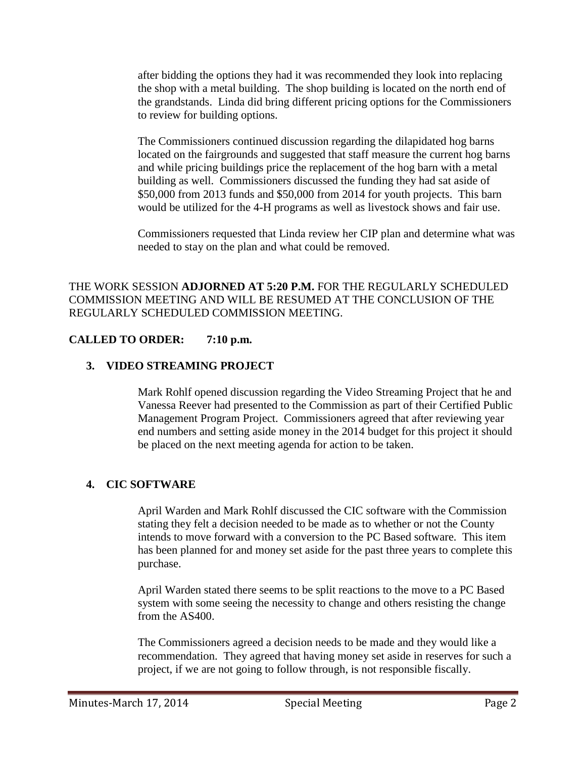after bidding the options they had it was recommended they look into replacing the shop with a metal building. The shop building is located on the north end of the grandstands. Linda did bring different pricing options for the Commissioners to review for building options.

The Commissioners continued discussion regarding the dilapidated hog barns located on the fairgrounds and suggested that staff measure the current hog barns and while pricing buildings price the replacement of the hog barn with a metal building as well. Commissioners discussed the funding they had sat aside of \$50,000 from 2013 funds and \$50,000 from 2014 for youth projects. This barn would be utilized for the 4-H programs as well as livestock shows and fair use.

Commissioners requested that Linda review her CIP plan and determine what was needed to stay on the plan and what could be removed.

## THE WORK SESSION **ADJORNED AT 5:20 P.M.** FOR THE REGULARLY SCHEDULED COMMISSION MEETING AND WILL BE RESUMED AT THE CONCLUSION OF THE REGULARLY SCHEDULED COMMISSION MEETING.

# **CALLED TO ORDER: 7:10 p.m.**

# **3. VIDEO STREAMING PROJECT**

Mark Rohlf opened discussion regarding the Video Streaming Project that he and Vanessa Reever had presented to the Commission as part of their Certified Public Management Program Project. Commissioners agreed that after reviewing year end numbers and setting aside money in the 2014 budget for this project it should be placed on the next meeting agenda for action to be taken.

# **4. CIC SOFTWARE**

April Warden and Mark Rohlf discussed the CIC software with the Commission stating they felt a decision needed to be made as to whether or not the County intends to move forward with a conversion to the PC Based software. This item has been planned for and money set aside for the past three years to complete this purchase.

April Warden stated there seems to be split reactions to the move to a PC Based system with some seeing the necessity to change and others resisting the change from the AS400.

The Commissioners agreed a decision needs to be made and they would like a recommendation. They agreed that having money set aside in reserves for such a project, if we are not going to follow through, is not responsible fiscally.